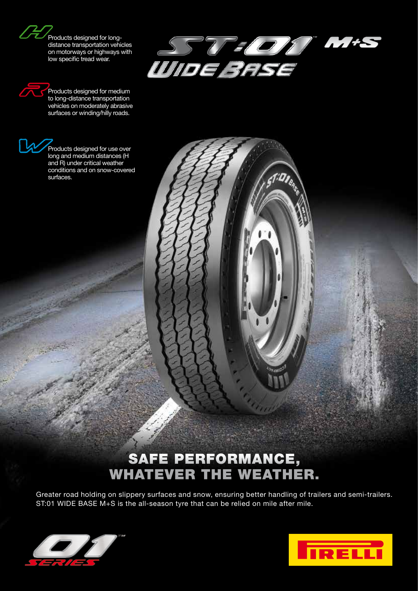Products designed for longdistance transportation vehicles on motorways or highways with low specific tread wear.



**DIRAN** 

Products designed for medium to long-distance transportation vehicles on moderately abrasive surfaces or winding/hilly roads.



## SAFE PERFORMANCE, WHATEVER THE WEATHER.

Greater road holding on slippery surfaces and snow, ensuring better handling of trailers and semi-trailers. ST:01 WIDE BASE M+S is the all-season tyre that can be relied on mile after mile.